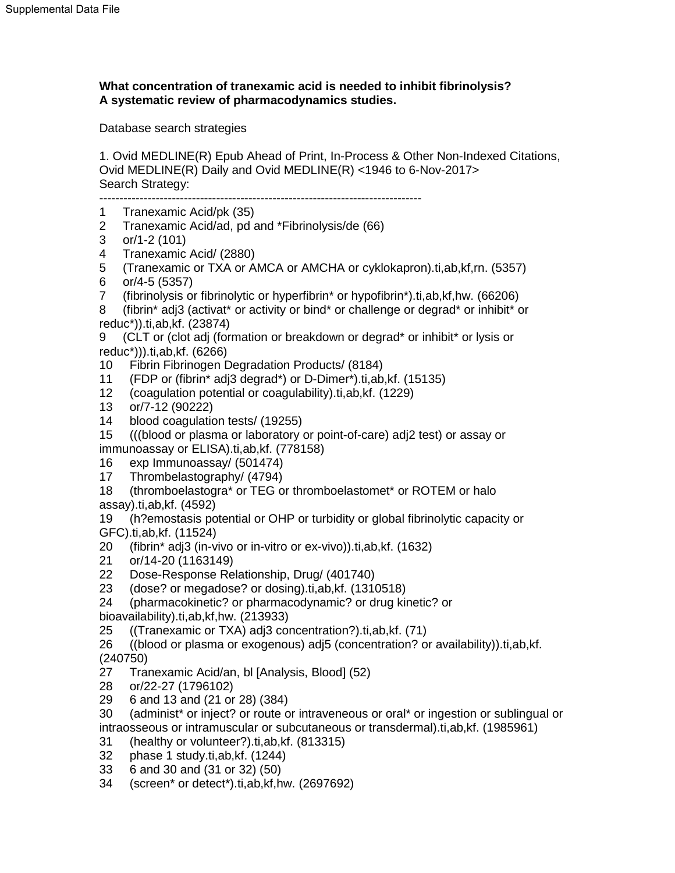## **What concentration of tranexamic acid is needed to inhibit fibrinolysis? A systematic review of pharmacodynamics studies.**

Database search strategies

1. Ovid MEDLINE(R) Epub Ahead of Print, In-Process & Other Non-Indexed Citations, Ovid MEDLINE(R) Daily and Ovid MEDLINE(R) <1946 to 6-Nov-2017> Search Strategy: --------------------------------------------------------------------------------

- 1 Tranexamic Acid/pk (35)
- 2 Tranexamic Acid/ad, pd and \*Fibrinolysis/de (66)
- 3 or/1-2 (101)
- 4 Tranexamic Acid/ (2880)
- 5 (Tranexamic or TXA or AMCA or AMCHA or cyklokapron).ti,ab,kf,rn. (5357)
- 6 or/4-5 (5357)
- 7 (fibrinolysis or fibrinolytic or hyperfibrin\* or hypofibrin\*).ti,ab,kf,hw. (66206)

8 (fibrin\* adj3 (activat\* or activity or bind\* or challenge or degrad\* or inhibit\* or reduc\*)).ti,ab,kf. (23874)

9 (CLT or (clot adj (formation or breakdown or degrad\* or inhibit\* or lysis or reduc\*))).ti,ab,kf. (6266)

- 10 Fibrin Fibrinogen Degradation Products/ (8184)
- 11 (FDP or (fibrin\* adj3 degrad\*) or D-Dimer\*).ti,ab,kf. (15135)
- 12 (coagulation potential or coagulability).ti,ab,kf. (1229)
- 13 or/7-12 (90222)
- 14 blood coagulation tests/ (19255)

15 (((blood or plasma or laboratory or point-of-care) adj2 test) or assay or immunoassay or ELISA).ti,ab,kf. (778158)

- 16 exp Immunoassay/ (501474)
- 17 Thrombelastography/ (4794)
- 18 (thromboelastogra\* or TEG or thromboelastomet\* or ROTEM or halo assay).ti,ab,kf. (4592)

19 (h?emostasis potential or OHP or turbidity or global fibrinolytic capacity or GFC).ti,ab,kf. (11524)

- 20 (fibrin\* adj3 (in-vivo or in-vitro or ex-vivo)).ti,ab,kf. (1632)
- 21 or/14-20 (1163149)
- 22 Dose-Response Relationship, Drug/ (401740)
- 23 (dose? or megadose? or dosing).ti,ab,kf. (1310518)
- 24 (pharmacokinetic? or pharmacodynamic? or drug kinetic? or bioavailability).ti,ab,kf,hw. (213933)
- 25 ((Tranexamic or TXA) adj3 concentration?).ti,ab,kf. (71)

26 ((blood or plasma or exogenous) adj5 (concentration? or availability)).ti,ab,kf. (240750)

- 27 Tranexamic Acid/an, bl [Analysis, Blood] (52)
- 28 or/22-27 (1796102)
- 29 6 and 13 and (21 or 28) (384)
- 30 (administ\* or inject? or route or intraveneous or oral\* or ingestion or sublingual or intraosseous or intramuscular or subcutaneous or transdermal).ti,ab,kf. (1985961)
- 31 (healthy or volunteer?).ti,ab,kf. (813315)
- 32 phase 1 study.ti,ab,kf. (1244)
- 33 6 and 30 and (31 or 32) (50)
- 34 (screen\* or detect\*).ti,ab,kf,hw. (2697692)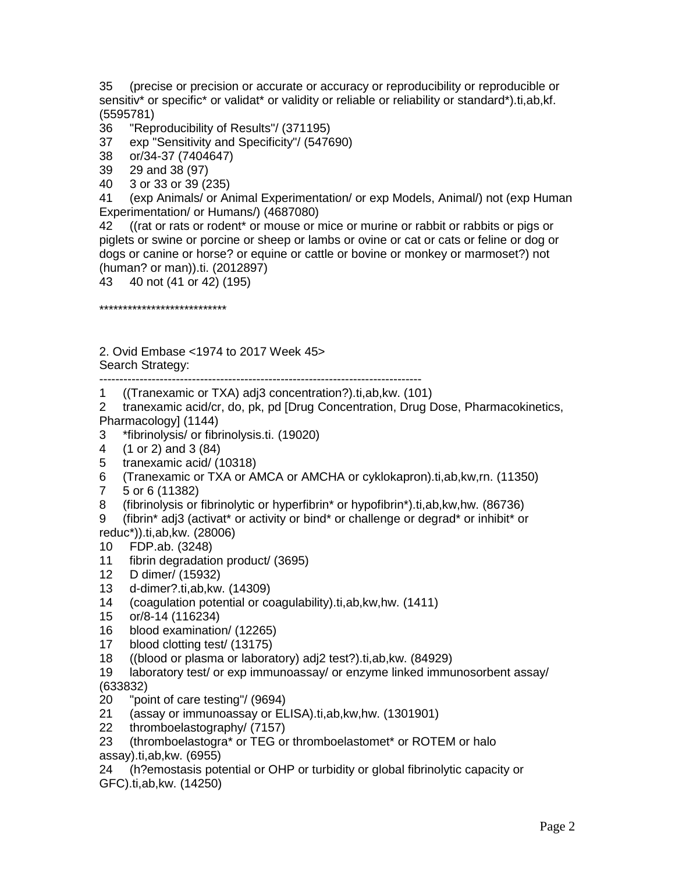35 (precise or precision or accurate or accuracy or reproducibility or reproducible or sensitiv<sup>\*</sup> or specific<sup>\*</sup> or validat<sup>\*</sup> or validity or reliable or reliability or standard<sup>\*</sup>).ti,ab,kf. (5595781)

- 36 "Reproducibility of Results"/ (371195)
- 37 exp "Sensitivity and Specificity"/ (547690)
- 38 or/34-37 (7404647)
- 39 29 and 38 (97)
- 40 3 or 33 or 39 (235)

41 (exp Animals/ or Animal Experimentation/ or exp Models, Animal/) not (exp Human Experimentation/ or Humans/) (4687080)

42 ((rat or rats or rodent\* or mouse or mice or murine or rabbit or rabbits or pigs or piglets or swine or porcine or sheep or lambs or ovine or cat or cats or feline or dog or dogs or canine or horse? or equine or cattle or bovine or monkey or marmoset?) not (human? or man)).ti. (2012897)

43 40 not (41 or 42) (195)

\*\*\*\*\*\*\*\*\*\*\*\*\*\*\*\*\*\*\*\*\*\*\*\*\*\*\*

2. Ovid Embase <1974 to 2017 Week 45> Search Strategy:

-------------------------------------------------------------------------------- 1 ((Tranexamic or TXA) adj3 concentration?).ti,ab,kw. (101)

2 tranexamic acid/cr, do, pk, pd [Drug Concentration, Drug Dose, Pharmacokinetics, Pharmacology] (1144)

- 3 \*fibrinolysis/ or fibrinolysis.ti. (19020)
- 4 (1 or 2) and 3 (84)
- 5 tranexamic acid/ (10318)
- 6 (Tranexamic or TXA or AMCA or AMCHA or cyklokapron).ti,ab,kw,rn. (11350)
- 7 5 or 6 (11382)
- 8 (fibrinolysis or fibrinolytic or hyperfibrin\* or hypofibrin\*).ti,ab,kw,hw. (86736)

9 (fibrin\* adj3 (activat\* or activity or bind\* or challenge or degrad\* or inhibit\* or reduc\*)).ti,ab,kw. (28006)

- 10 FDP.ab. (3248)
- 11 fibrin degradation product/ (3695)
- 12 D dimer/ (15932)
- 13 d-dimer?.ti,ab,kw. (14309)
- 14 (coagulation potential or coagulability).ti,ab,kw,hw. (1411)
- 15 or/8-14 (116234)
- 16 blood examination/ (12265)
- 17 blood clotting test/ (13175)
- 18 ((blood or plasma or laboratory) adj2 test?).ti,ab,kw. (84929)
- 19 laboratory test/ or exp immunoassay/ or enzyme linked immunosorbent assay/ (633832)
- 20 "point of care testing"/ (9694)
- 21 (assay or immunoassay or ELISA).ti,ab,kw,hw. (1301901)
- 22 thromboelastography/ (7157)
- 23 (thromboelastogra\* or TEG or thromboelastomet\* or ROTEM or halo assay).ti,ab,kw. (6955)
- 24 (h?emostasis potential or OHP or turbidity or global fibrinolytic capacity or GFC).ti,ab,kw. (14250)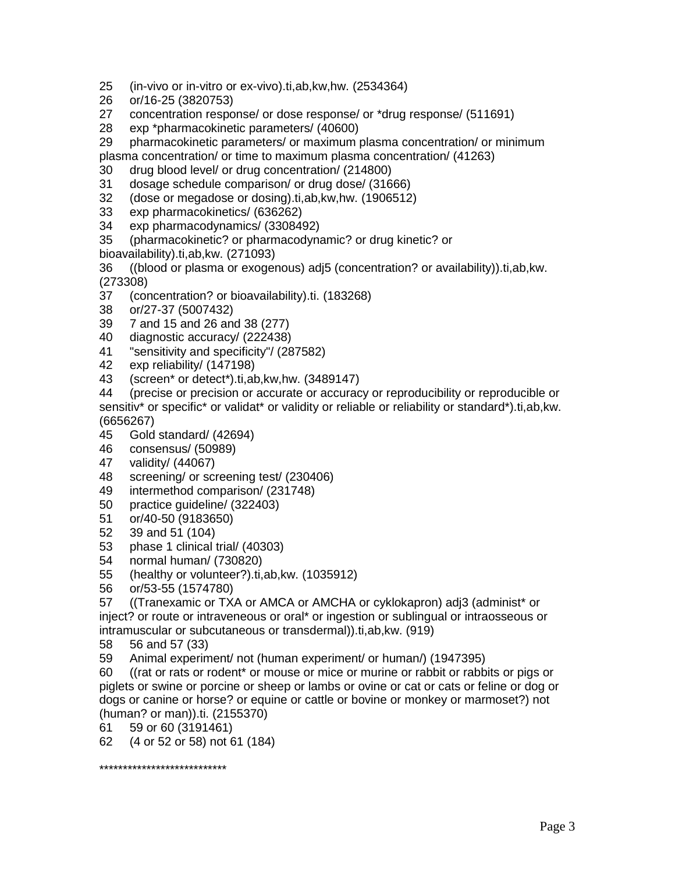- 25 (in-vivo or in-vitro or ex-vivo).ti,ab,kw,hw. (2534364)
- 26 or/16-25 (3820753)
- 27 concentration response/ or dose response/ or \*drug response/ (511691)
- 28 exp \*pharmacokinetic parameters/ (40600)
- 29 pharmacokinetic parameters/ or maximum plasma concentration/ or minimum plasma concentration/ or time to maximum plasma concentration/ (41263)
- 30 drug blood level/ or drug concentration/ (214800)
- 31 dosage schedule comparison/ or drug dose/ (31666)
- 32 (dose or megadose or dosing).ti,ab,kw,hw. (1906512)
- 33 exp pharmacokinetics/ (636262)
- 34 exp pharmacodynamics/ (3308492)
- 35 (pharmacokinetic? or pharmacodynamic? or drug kinetic? or
- bioavailability).ti,ab,kw. (271093)

36 ((blood or plasma or exogenous) adj5 (concentration? or availability)).ti,ab,kw. (273308)

- 37 (concentration? or bioavailability).ti. (183268)
- 38 or/27-37 (5007432)
- 39 7 and 15 and 26 and 38 (277)
- 40 diagnostic accuracy/ (222438)
- 41 "sensitivity and specificity"/ (287582)
- 42 exp reliability/ (147198)
- 43 (screen\* or detect\*).ti,ab,kw,hw. (3489147)
- 44 (precise or precision or accurate or accuracy or reproducibility or reproducible or sensitiv<sup>\*</sup> or specific<sup>\*</sup> or validat<sup>\*</sup> or validity or reliable or reliability or standard<sup>\*</sup>).ti,ab, kw. (6656267)
- 45 Gold standard/ (42694)
- 46 consensus/ (50989)
- 47 validity/ (44067)
- 48 screening/ or screening test/ (230406)
- 49 intermethod comparison/ (231748)
- 50 practice guideline/ (322403)
- 51 or/40-50 (9183650)
- 52 39 and 51 (104)
- 53 phase 1 clinical trial/ (40303)
- 54 normal human/ (730820)
- 55 (healthy or volunteer?).ti,ab,kw. (1035912)
- 56 or/53-55 (1574780)

57 ((Tranexamic or TXA or AMCA or AMCHA or cyklokapron) adj3 (administ\* or inject? or route or intraveneous or oral\* or ingestion or sublingual or intraosseous or intramuscular or subcutaneous or transdermal)).ti,ab,kw. (919)

58 56 and 57 (33)

59 Animal experiment/ not (human experiment/ or human/) (1947395)

60 ((rat or rats or rodent\* or mouse or mice or murine or rabbit or rabbits or pigs or piglets or swine or porcine or sheep or lambs or ovine or cat or cats or feline or dog or dogs or canine or horse? or equine or cattle or bovine or monkey or marmoset?) not (human? or man)).ti. (2155370)

61 59 or 60 (3191461)

62 (4 or 52 or 58) not 61 (184)

\*\*\*\*\*\*\*\*\*\*\*\*\*\*\*\*\*\*\*\*\*\*\*\*\*\*\*